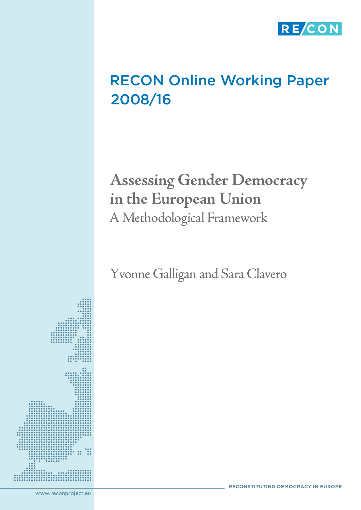

# RECON Online Working Paper 2008/16

# **Assessing Gender Democracy in the European Union** A Methodological Framework

Yvonne Galligan and Sara Clavero

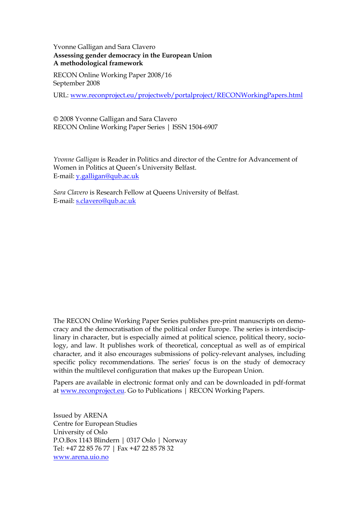## Yvonne Galligan and Sara Clavero **Assessing gender democracy in the European Union A methodological framework**

RECON Online Working Paper 2008/16 September 2008

URL: [www.reconproject.eu/projectweb/portalproject/RECONWorkingPapers.html](http://www.reconproject.eu/projectweb/portalproject/RECONWorkingPapers.html)

© 2008 Yvonne Galligan and Sara Clavero RECON Online Working Paper Series | ISSN 1504-6907

*Yvonne Galligan* is Reader in Politics and director of the Centre for Advancement of Women in Politics at Queen"s University Belfast. E-mail: [y.galligan@qub.ac.uk](mailto:y.galligan@qub.ac.uk)

*Sara Clavero* is Research Fellow at Queens University of Belfast*.* E-mail: <s.clavero@qub.ac.uk>

The RECON Online Working Paper Series publishes pre-print manuscripts on democracy and the democratisation of the political order Europe. The series is interdisciplinary in character, but is especially aimed at political science, political theory, sociology, and law. It publishes work of theoretical, conceptual as well as of empirical character, and it also encourages submissions of policy-relevant analyses, including specific policy recommendations. The series' focus is on the study of democracy within the multilevel configuration that makes up the European Union.

Papers are available in electronic format only and can be downloaded in pdf-format at [www.reconproject.eu.](http://www.reconproject.eu/) Go to Publications | RECON Working Papers.

Issued by ARENA Centre for European Studies University of Oslo P.O.Box 1143 Blindern | 0317 Oslo | Norway Tel: +47 22 85 76 77 | Fax +47 22 85 78 32 [www.arena.uio.no](http://www.arena.uio.no/)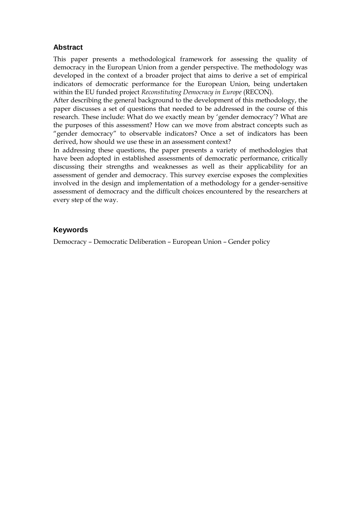# **Abstract**

This paper presents a methodological framework for assessing the quality of democracy in the European Union from a gender perspective. The methodology was developed in the context of a broader project that aims to derive a set of empirical indicators of democratic performance for the European Union, being undertaken within the EU funded project *Reconstituting Democracy in Europe* (RECON).

After describing the general background to the development of this methodology, the paper discusses a set of questions that needed to be addressed in the course of this research. These include: What do we exactly mean by 'gender democracy'? What are the purposes of this assessment? How can we move from abstract concepts such as "gender democracy" to observable indicators? Once a set of indicators has been derived, how should we use these in an assessment context?

In addressing these questions, the paper presents a variety of methodologies that have been adopted in established assessments of democratic performance, critically discussing their strengths and weaknesses as well as their applicability for an assessment of gender and democracy. This survey exercise exposes the complexities involved in the design and implementation of a methodology for a gender-sensitive assessment of democracy and the difficult choices encountered by the researchers at every step of the way.

# **Keywords**

Democracy – Democratic Deliberation – European Union – Gender policy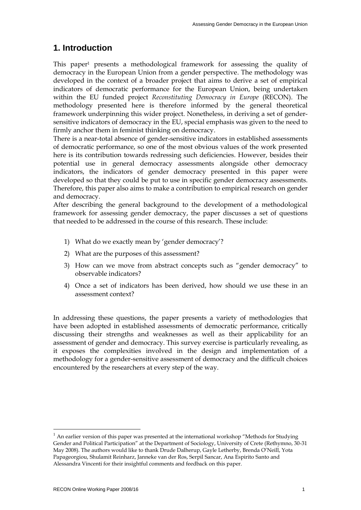# **1. Introduction**

This paper1 presents a methodological framework for assessing the quality of democracy in the European Union from a gender perspective. The methodology was developed in the context of a broader project that aims to derive a set of empirical indicators of democratic performance for the European Union, being undertaken within the EU funded project *Reconstituting Democracy in Europe* (RECON). The methodology presented here is therefore informed by the general theoretical framework underpinning this wider project. Nonetheless, in deriving a set of gendersensitive indicators of democracy in the EU, special emphasis was given to the need to firmly anchor them in feminist thinking on democracy.

There is a near-total absence of gender-sensitive indicators in established assessments of democratic performance, so one of the most obvious values of the work presented here is its contribution towards redressing such deficiencies. However, besides their potential use in general democracy assessments alongside other democracy indicators, the indicators of gender democracy presented in this paper were developed so that they could be put to use in specific gender democracy assessments. Therefore, this paper also aims to make a contribution to empirical research on gender and democracy.

After describing the general background to the development of a methodological framework for assessing gender democracy, the paper discusses a set of questions that needed to be addressed in the course of this research. These include:

- 1) What do we exactly mean by "gender democracy"?
- 2) What are the purposes of this assessment?
- 3) How can we move from abstract concepts such as "gender democracy" to observable indicators?
- 4) Once a set of indicators has been derived, how should we use these in an assessment context?

In addressing these questions, the paper presents a variety of methodologies that have been adopted in established assessments of democratic performance, critically discussing their strengths and weaknesses as well as their applicability for an assessment of gender and democracy. This survey exercise is particularly revealing, as it exposes the complexities involved in the design and implementation of a methodology for a gender-sensitive assessment of democracy and the difficult choices encountered by the researchers at every step of the way.

 $<sup>1</sup>$  An earlier version of this paper was presented at the international workshop "Methods for Studying"</sup> Gender and Political Participation" at the Department of Sociology, University of Crete (Rethymno, 30-31 May 2008). The authors would like to thank Drude Dalherup, Gayle Letherby, Brenda O"Neill, Yota Papageorgiou, Shulamit Reinharz, Janneke van der Ros, Serpil Sancar, Ana Espirito Santo and Alessandra Vincenti for their insightful comments and feedback on this paper.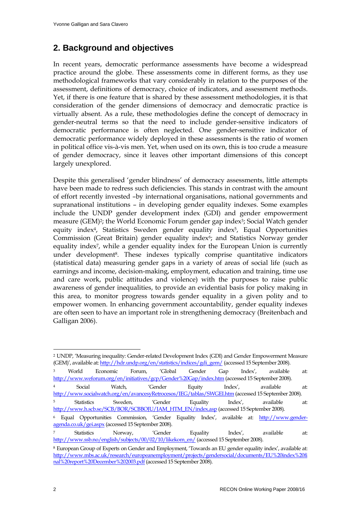# **2. Background and objectives**

In recent years, democratic performance assessments have become a widespread practice around the globe. These assessments come in different forms, as they use methodological frameworks that vary considerably in relation to the purposes of the assessment, definitions of democracy, choice of indicators, and assessment methods. Yet, if there is one feature that is shared by these assessment methodologies, it is that consideration of the gender dimensions of democracy and democratic practice is virtually absent. As a rule, these methodologies define the concept of democracy in gender-neutral terms so that the need to include gender-sensitive indicators of democratic performance is often neglected. One gender-sensitive indicator of democratic performance widely deployed in these assessments is the ratio of women in political office vis-à-vis men. Yet, when used on its own, this is too crude a measure of gender democracy, since it leaves other important dimensions of this concept largely unexplored.

Despite this generalised "gender blindness" of democracy assessments, little attempts have been made to redress such deficiencies. This stands in contrast with the amount of effort recently invested –by international organisations, national governments and supranational institutions – in developing gender equality indexes. Some examples include the UNDP gender development index (GDI) and gender empowerment measure (GEM)<sup>2</sup>; the World Economic Forum gender gap index<sup>3</sup>; Social Watch gender equity index<sup>4</sup>, Statistics Sweden gender equality index<sup>5</sup>, Equal Opportunities Commission (Great Britain) gender equality index<sup>6</sup>; and Statistics Norway gender equality index7, while a gender equality index for the European Union is currently under development<sup>8</sup>. These indexes typically comprise quantitative indicators (statistical data) measuring gender gaps in a variety of areas of social life (such as earnings and income, decision-making, employment, education and training, time use and care work, public attitudes and violence) with the purposes to raise public awareness of gender inequalities, to provide an evidential basis for policy making in this area, to monitor progress towards gender equality in a given polity and to empower women. In enhancing government accountability, gender equality indexes are often seen to have an important role in strengthening democracy (Breitenbach and Galligan 2006).

<sup>2</sup> UNDP, "Measuring inequality: Gender-related Development Index (GDI) and Gender Empowerment Measure (GEM)", available at: [http://hdr.undp.org/en/statistics/indices/gdi\\_gem/](http://hdr.undp.org/en/statistics/indices/gdi_gem/) (accessed 15 September 2008).

<sup>&</sup>lt;sup>3</sup> World Economic Forum, 'Global Gender Gap Index', available at: [http://www.weforum.org/en/initiatives/gcp/Gender%20Gap/index.htm \(](http://www.weforum.org/en/initiatives/gcp/Gender%20Gap/index.htm)accessed 15 September 2008). <sup>4</sup> Social Watch, "Gender Equity Index", available at: <http://www.socialwatch.org/en/avancesyRetrocesos/IEG/tablas/SWGEI.htm> (accessed 15 September 2008).

<sup>&</sup>lt;sup>5</sup> Statistics Sweden, 'Gender Equality Index', available at: [http://www.h.scb.se/SCB/BOR/SCBBOJU/JAM\\_HTM\\_EN/index.asp](http://www.h.scb.se/SCB/BOR/SCBBOJU/JAM_HTM_EN/index.asp) (accessed 15 September 2008).

<sup>6</sup> Equal Opportunities Commission, 'Gender Equality Index', available at: [http://www.gender](http://www.gender-agenda.co.uk/gei.aspx)[agenda.co.uk/gei.aspx](http://www.gender-agenda.co.uk/gei.aspx) (accessed 15 September 2008).

 $7$  Statistics Norway, 'Gender Equality Index', available at: [http://www.ssb.no/english/subjects/00/02/10/likekom\\_en/](http://www.ssb.no/english/subjects/00/02/10/likekom_en/) (accessed 15 September 2008).

<sup>8</sup> European Group of Experts on Gender and Employment, "Towards an EU gender equality index", available at: [http://www.mbs.ac.uk/research/europeanemployment/projects/gendersocial/documents/EU%20index%20fi](http://www.mbs.ac.uk/research/europeanemployment/projects/gendersocial/documents/EU%20index%20final%20report%20December%202003.pdf) [nal%20report%20December%202003.pdf](http://www.mbs.ac.uk/research/europeanemployment/projects/gendersocial/documents/EU%20index%20final%20report%20December%202003.pdf) (accessed 15 September 2008).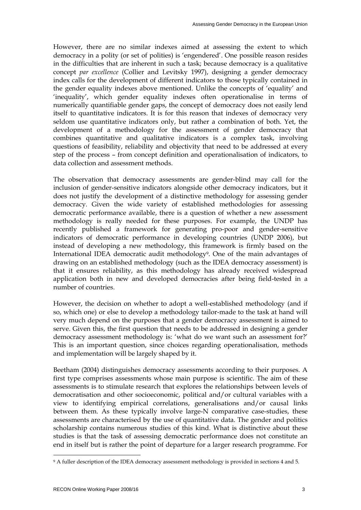However, there are no similar indexes aimed at assessing the extent to which democracy in a polity (or set of polities) is 'engendered'. One possible reason resides in the difficulties that are inherent in such a task; because democracy is a qualitative concept *par excellence* (Collier and Levitsky 1997), designing a gender democracy index calls for the development of different indicators to those typically contained in the gender equality indexes above mentioned. Unlike the concepts of "equality" and 'inequality', which gender equality indexes often operationalise in terms of numerically quantifiable gender gaps, the concept of democracy does not easily lend itself to quantitative indicators. It is for this reason that indexes of democracy very seldom use quantitative indicators only, but rather a combination of both. Yet, the development of a methodology for the assessment of gender democracy that combines quantitative and qualitative indicators is a complex task, involving questions of feasibility, reliability and objectivity that need to be addressed at every step of the process – from concept definition and operationalisation of indicators, to data collection and assessment methods.

The observation that democracy assessments are gender-blind may call for the inclusion of gender-sensitive indicators alongside other democracy indicators, but it does not justify the development of a distinctive methodology for assessing gender democracy. Given the wide variety of established methodologies for assessing democratic performance available, there is a question of whether a new assessment methodology is really needed for these purposes. For example, the UNDP has recently published a framework for generating pro-poor and gender-sensitive indicators of democratic performance in developing countries (UNDP 2006), but instead of developing a new methodology, this framework is firmly based on the International IDEA democratic audit methodology9. One of the main advantages of drawing on an established methodology (such as the IDEA democracy assessment) is that it ensures reliability, as this methodology has already received widespread application both in new and developed democracies after being field-tested in a number of countries.

However, the decision on whether to adopt a well-established methodology (and if so, which one) or else to develop a methodology tailor-made to the task at hand will very much depend on the purposes that a gender democracy assessment is aimed to serve. Given this, the first question that needs to be addressed in designing a gender democracy assessment methodology is: 'what do we want such an assessment for?' This is an important question, since choices regarding operationalisation, methods and implementation will be largely shaped by it.

Beetham (2004) distinguishes democracy assessments according to their purposes. A first type comprises assessments whose main purpose is scientific. The aim of these assessments is to stimulate research that explores the relationships between levels of democratisation and other socioeconomic, political and/or cultural variables with a view to identifying empirical correlations, generalisations and/or causal links between them. As these typically involve large-N comparative case-studies, these assessments are characterised by the use of quantitative data. The gender and politics scholarship contains numerous studies of this kind. What is distinctive about these studies is that the task of assessing democratic performance does not constitute an end in itself but is rather the point of departure for a larger research programme. For

<sup>9</sup> A fuller description of the IDEA democracy assessment methodology is provided in sections 4 and 5.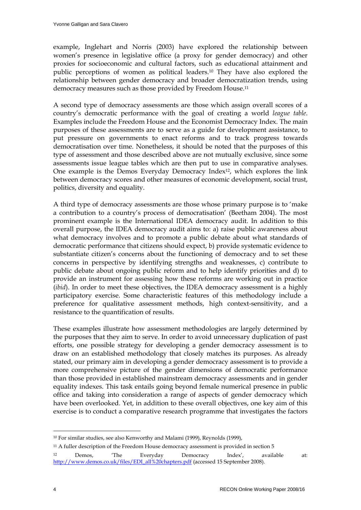example, Inglehart and Norris (2003) have explored the relationship between women"s presence in legislative office (a proxy for gender democracy) and other proxies for socioeconomic and cultural factors, such as educational attainment and public perceptions of women as political leaders.10 They have also explored the relationship between gender democracy and broader democratization trends, using democracy measures such as those provided by Freedom House.<sup>11</sup>

A second type of democracy assessments are those which assign overall scores of a country"s democratic performance with the goal of creating a world *league table*. Examples include the Freedom House and the Economist Democracy Index. The main purposes of these assessments are to serve as a guide for development assistance, to put pressure on governments to enact reforms and to track progress towards democratisation over time. Nonetheless, it should be noted that the purposes of this type of assessment and those described above are not mutually exclusive, since some assessments issue league tables which are then put to use in comparative analyses. One example is the Demos Everyday Democracy Index12, which explores the link between democracy scores and other measures of economic development, social trust, politics, diversity and equality.

A third type of democracy assessments are those whose primary purpose is to "make a contribution to a country"s process of democratisation" (Beetham 2004). The most prominent example is the International IDEA democracy audit. In addition to this overall purpose, the IDEA democracy audit aims to: a) raise public awareness about what democracy involves and to promote a public debate about what standards of democratic performance that citizens should expect, b) provide systematic evidence to substantiate citizen's concerns about the functioning of democracy and to set these concerns in perspective by identifying strengths and weaknesses, c) contribute to public debate about ongoing public reform and to help identify priorities and d) to provide an instrument for assessing how these reforms are working out in practice (*ibid*). In order to meet these objectives, the IDEA democracy assessment is a highly participatory exercise. Some characteristic features of this methodology include a preference for qualitative assessment methods, high context-sensitivity, and a resistance to the quantification of results.

These examples illustrate how assessment methodologies are largely determined by the purposes that they aim to serve. In order to avoid unnecessary duplication of past efforts, one possible strategy for developing a gender democracy assessment is to draw on an established methodology that closely matches its purposes. As already stated, our primary aim in developing a gender democracy assessment is to provide a more comprehensive picture of the gender dimensions of democratic performance than those provided in established mainstream democracy assessments and in gender equality indexes. This task entails going beyond female numerical presence in public office and taking into consideration a range of aspects of gender democracy which have been overlooked. Yet, in addition to these overall objectives, one key aim of this exercise is to conduct a comparative research programme that investigates the factors

<sup>10</sup> For similar studies, see also Kenworthy and Malami (1999), Reynolds (1999),

<sup>11</sup> A fuller description of the Freedom House democracy assessment is provided in section 5

<sup>&</sup>lt;sup>12</sup> Demos, 'The Everyday Democracy Index', available at: [http://www.demos.co.uk/files/EDI\\_all%20chapters.pdf](http://www.demos.co.uk/files/EDI_all%20chapters.pdf) (accessed 15 September 2008).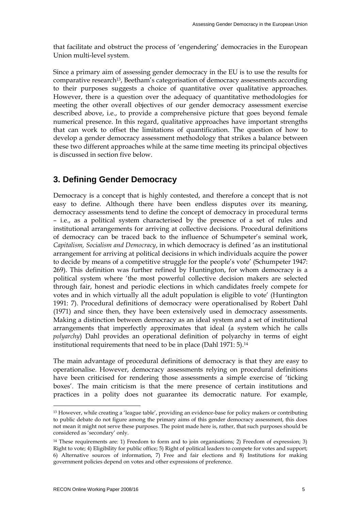that facilitate and obstruct the process of "engendering" democracies in the European Union multi-level system.

Since a primary aim of assessing gender democracy in the EU is to use the results for comparative research13, Beetham"s categorisation of democracy assessments according to their purposes suggests a choice of quantitative over qualitative approaches. However, there is a question over the adequacy of quantitative methodologies for meeting the other overall objectives of our gender democracy assessment exercise described above, i.e., to provide a comprehensive picture that goes beyond female numerical presence. In this regard, qualitative approaches have important strengths that can work to offset the limitations of quantification. The question of how to develop a gender democracy assessment methodology that strikes a balance between these two different approaches while at the same time meeting its principal objectives is discussed in section five below.

# **3. Defining Gender Democracy**

Democracy is a concept that is highly contested, and therefore a concept that is not easy to define. Although there have been endless disputes over its meaning, democracy assessments tend to define the concept of democracy in procedural terms – i.e., as a political system characterised by the presence of a set of rules and institutional arrangements for arriving at collective decisions. Procedural definitions of democracy can be traced back to the influence of Schumpeter's seminal work, *Capitalism, Socialism and Democracy*, in which democracy is defined "as an institutional arrangement for arriving at political decisions in which individuals acquire the power to decide by means of a competitive struggle for the people's vote' (Schumpeter 1947: 269). This definition was further refined by Huntington, for whom democracy is a political system where "the most powerful collective decision makers are selected through fair, honest and periodic elections in which candidates freely compete for votes and in which virtually all the adult population is eligible to vote" (Huntington 1991: 7). Procedural definitions of democracy were operationalised by Robert Dahl (1971) and since then, they have been extensively used in democracy assessments. Making a distinction between democracy as an ideal system and a set of institutional arrangements that imperfectly approximates that ideal (a system which he calls *polyarchy*) Dahl provides an operational definition of polyarchy in terms of eight institutional requirements that need to be in place (Dahl 1971: 5).<sup>14</sup>

The main advantage of procedural definitions of democracy is that they are easy to operationalise. However, democracy assessments relying on procedural definitions have been criticised for rendering those assessments a simple exercise of "ticking boxes'. The main criticism is that the mere presence of certain institutions and practices in a polity does not guarantee its democratic nature. For example,

<sup>13</sup> However, while creating a "league table", providing an evidence-base for policy makers or contributing to public debate do not figure among the primary aims of this gender democracy assessment, this does not mean it might not serve these purposes. The point made here is, rather, that such purposes should be considered as "secondary" only.

<sup>14</sup> These requirements are: 1) Freedom to form and to join organisations; 2) Freedom of expression; 3) Right to vote; 4) Eligibility for public office; 5) Right of political leaders to compete for votes and support; 6) Alternative sources of information, 7) Free and fair elections and 8) Institutions for making government policies depend on votes and other expressions of preference.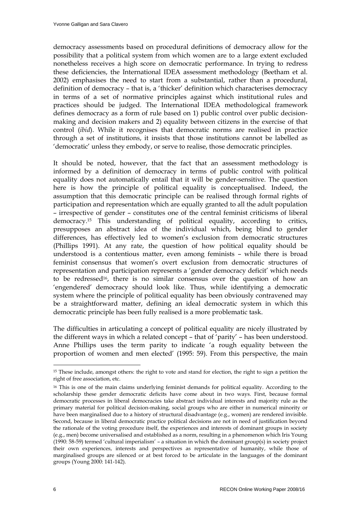democracy assessments based on procedural definitions of democracy allow for the possibility that a political system from which women are to a large extent excluded nonetheless receives a high score on democratic performance. In trying to redress these deficiencies, the International IDEA assessment methodology (Beetham et al. 2002) emphasises the need to start from a substantial, rather than a procedural, definition of democracy – that is, a "thicker" definition which characterises democracy in terms of a set of normative principles against which institutional rules and practices should be judged. The International IDEA methodological framework defines democracy as a form of rule based on 1) public control over public decisionmaking and decision makers and 2) equality between citizens in the exercise of that control (*ibid*). While it recognises that democratic norms are realised in practice through a set of institutions, it insists that those institutions cannot be labelled as "democratic" unless they embody, or serve to realise, those democratic principles.

It should be noted, however, that the fact that an assessment methodology is informed by a definition of democracy in terms of public control with political equality does not automatically entail that it will be gender-sensitive. The question here is how the principle of political equality is conceptualised. Indeed, the assumption that this democratic principle can be realised through formal rights of participation and representation which are equally granted to all the adult population – irrespective of gender – constitutes one of the central feminist criticisms of liberal democracy.15 This understanding of political equality, according to critics, presupposes an abstract idea of the individual which, being blind to gender differences, has effectively led to women"s exclusion from democratic structures (Phillips 1991). At any rate, the question of how political equality should be understood is a contentious matter, even among feminists – while there is broad feminist consensus that women"s overt exclusion from democratic structures of representation and participation represents a 'gender democracy deficit' which needs to be redressed<sup>16</sup>, there is no similar consensus over the question of how an "engendered" democracy should look like. Thus, while identifying a democratic system where the principle of political equality has been obviously contravened may be a straightforward matter, defining an ideal democratic system in which this democratic principle has been fully realised is a more problematic task.

The difficulties in articulating a concept of political equality are nicely illustrated by the different ways in which a related concept – that of "parity" – has been understood. Anne Phillips uses the term parity to indicate "a rough equality between the proportion of women and men elected' (1995: 59). From this perspective, the main

<sup>15</sup> These include, amongst others: the right to vote and stand for election, the right to sign a petition the right of free association, etc.

<sup>16</sup> This is one of the main claims underlying feminist demands for political equality. According to the scholarship these gender democratic deficits have come about in two ways. First, because formal democratic processes in liberal democracies take abstract individual interests and majority rule as the primary material for political decision-making, social groups who are either in numerical minority or have been marginalised due to a history of structural disadvantage (e.g., women) are rendered invisible. Second, because in liberal democratic practice political decisions are not in need of justification beyond the rationale of the voting procedure itself, the experiences and interests of dominant groups in society (e.g., men) become universalised and established as a norm, resulting in a phenomenon which Iris Young  $(1990: 58-59)$  termed 'cultural imperialism' – a situation in which the dominant group(s) in society project their own experiences, interests and perspectives as representative of humanity, while those of marginalised groups are silenced or at best forced to be articulate in the languages of the dominant groups (Young 2000: 141-142).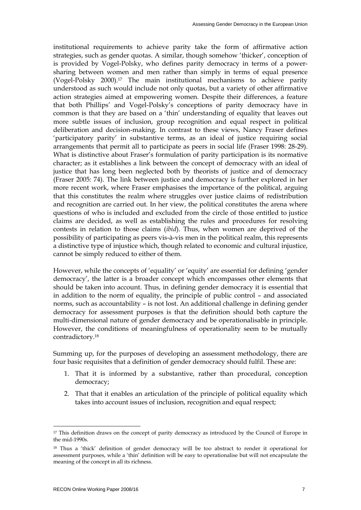institutional requirements to achieve parity take the form of affirmative action strategies, such as gender quotas. A similar, though somehow "thicker", conception of is provided by Vogel-Polsky, who defines parity democracy in terms of a powersharing between women and men rather than simply in terms of equal presence (Vogel-Polsky 2000).17 The main institutional mechanisms to achieve parity understood as such would include not only quotas, but a variety of other affirmative action strategies aimed at empowering women. Despite their differences, a feature that both Phillips" and Vogel-Polsky"s conceptions of parity democracy have in common is that they are based on a "thin" understanding of equality that leaves out more subtle issues of inclusion, group recognition and equal respect in political deliberation and decision-making. In contrast to these views, Nancy Fraser defines 'participatory parity' in substantive terms, as an ideal of justice requiring social arrangements that permit all to participate as peers in social life (Fraser 1998: 28-29). What is distinctive about Fraser's formulation of parity participation is its normative character; as it establishes a link between the concept of democracy with an ideal of justice that has long been neglected both by theorists of justice and of democracy (Fraser 2005: 74). The link between justice and democracy is further explored in her more recent work, where Fraser emphasises the importance of the political, arguing that this constitutes the realm where struggles over justice claims of redistribution and recognition are carried out. In her view, the political constitutes the arena where questions of who is included and excluded from the circle of those entitled to justice claims are decided, as well as establishing the rules and procedures for resolving contests in relation to those claims (*ibid*). Thus, when women are deprived of the possibility of participating as peers vis-à-vis men in the political realm, this represents a distinctive type of injustice which, though related to economic and cultural injustice, cannot be simply reduced to either of them.

However, while the concepts of 'equality' or 'equity' are essential for defining 'gender democracy", the latter is a broader concept which encompasses other elements that should be taken into account. Thus, in defining gender democracy it is essential that in addition to the norm of equality, the principle of public control – and associated norms, such as accountability – is not lost. An additional challenge in defining gender democracy for assessment purposes is that the definition should both capture the multi-dimensional nature of gender democracy and be operationalisable in principle. However, the conditions of meaningfulness of operationality seem to be mutually contradictory.<sup>18</sup>

Summing up, for the purposes of developing an assessment methodology, there are four basic requisites that a definition of gender democracy should fulfil. These are:

- 1. That it is informed by a substantive, rather than procedural, conception democracy;
- 2. That that it enables an articulation of the principle of political equality which takes into account issues of inclusion, recognition and equal respect;

<sup>&</sup>lt;sup>17</sup> This definition draws on the concept of parity democracy as introduced by the Council of Europe in the mid-1990s.

<sup>18</sup> Thus a "thick" definition of gender democracy will be too abstract to render it operational for assessment purposes, while a "thin" definition will be easy to operationalise but will not encapsulate the meaning of the concept in all its richness.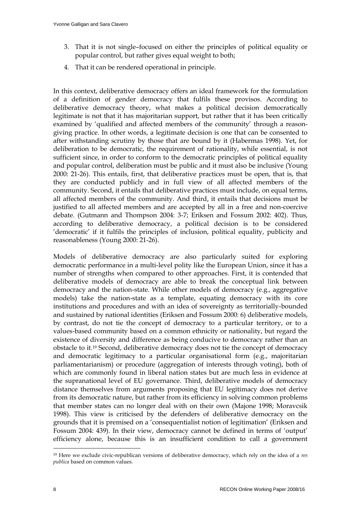- 3. That it is not single–focused on either the principles of political equality or popular control, but rather gives equal weight to both;
- 4. That it can be rendered operational in principle.

In this context, deliberative democracy offers an ideal framework for the formulation of a definition of gender democracy that fulfils these provisos. According to deliberative democracy theory, what makes a political decision democratically legitimate is not that it has majoritarian support, but rather that it has been critically examined by 'qualified and affected members of the community' through a reasongiving practice. In other words, a legitimate decision is one that can be consented to after withstanding scrutiny by those that are bound by it (Habermas 1998). Yet, for deliberation to be democratic, the requirement of rationality, while essential, is not sufficient since, in order to conform to the democratic principles of political equality and popular control, deliberation must be public and it must also be inclusive (Young 2000: 21-26). This entails, first, that deliberative practices must be open, that is, that they are conducted publicly and in full view of all affected members of the community. Second, it entails that deliberative practices must include, on equal terms, all affected members of the community. And third, it entails that decisions must be justified to all affected members and are accepted by all in a free and non-coercive debate. (Gutmann and Thompson 2004: 3-7; Eriksen and Fossum 2002: 402). Thus, according to deliberative democracy, a political decision is to be considered "democratic" if it fulfils the principles of inclusion, political equality, publicity and reasonableness (Young 2000: 21-26).

Models of deliberative democracy are also particularly suited for exploring democratic performance in a multi-level polity like the European Union, since it has a number of strengths when compared to other approaches. First, it is contended that deliberative models of democracy are able to break the conceptual link between democracy and the nation-state. While other models of democracy (e.g., aggregative models) take the nation-state as a template, equating democracy with its core institutions and procedures and with an idea of sovereignty as territorially-bounded and sustained by national identities (Eriksen and Fossum 2000: 6) deliberative models, by contrast, do not tie the concept of democracy to a particular territory, or to a values-based community based on a common ethnicity or nationality, but regard the existence of diversity and difference as being conducive to democracy rather than an obstacle to it.19 Second, deliberative democracy does not tie the concept of democracy and democratic legitimacy to a particular organisational form (e.g., majoritarian parliamentarianism) or procedure (aggregation of interests through voting), both of which are commonly found in liberal nation states but are much less in evidence at the supranational level of EU governance. Third, deliberative models of democracy distance themselves from arguments proposing that EU legitimacy does not derive from its democratic nature, but rather from its efficiency in solving common problems that member states can no longer deal with on their own (Majone 1998; Moravcsik 1998). This view is criticised by the defenders of deliberative democracy on the grounds that it is premised on a "consequentialist notion of legitimation" (Eriksen and Fossum 2004: 439). In their view, democracy cannot be defined in terms of "output" efficiency alone, because this is an insufficient condition to call a government

<sup>19</sup> Here we exclude civic-republican versions of deliberative democracy, which rely on the idea of a *res publica* based on common values.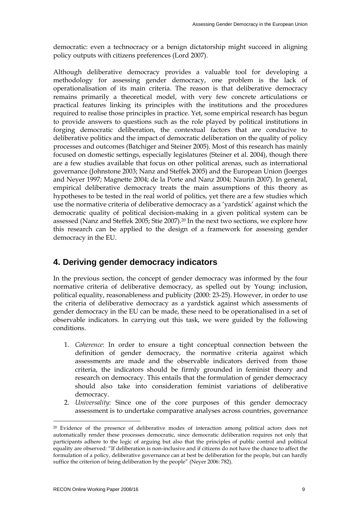democratic: even a technocracy or a benign dictatorship might succeed in aligning policy outputs with citizens preferences (Lord 2007).

Although deliberative democracy provides a valuable tool for developing a methodology for assessing gender democracy, one problem is the lack of operationalisation of its main criteria. The reason is that deliberative democracy remains primarily a theoretical model, with very few concrete articulations or practical features linking its principles with the institutions and the procedures required to realise those principles in practice. Yet, some empirical research has begun to provide answers to questions such as the role played by political institutions in forging democratic deliberation, the contextual factors that are conducive to deliberative politics and the impact of democratic deliberation on the quality of policy processes and outcomes (Batchiger and Steiner 2005). Most of this research has mainly focused on domestic settings, especially legislatures (Steiner et al. 2004), though there are a few studies available that focus on other political arenas, such as international governance (Johnstone 2003; Nanz and Steffek 2005) and the European Union (Joerges and Neyer 1997; Magnette 2004; de la Porte and Nanz 2004; Naurin 2007). In general, empirical deliberative democracy treats the main assumptions of this theory as hypotheses to be tested in the real world of politics, yet there are a few studies which use the normative criteria of deliberative democracy as a "yardstick" against which the democratic quality of political decision-making in a given political system can be assessed (Nanz and Steffek 2005; Stie 2007).<sup>20</sup> In the next two sections, we explore how this research can be applied to the design of a framework for assessing gender democracy in the EU.

# **4. Deriving gender democracy indicators**

In the previous section, the concept of gender democracy was informed by the four normative criteria of deliberative democracy, as spelled out by Young: inclusion, political equality, reasonableness and publicity (2000: 23-25). However, in order to use the criteria of deliberative democracy as a yardstick against which assessments of gender democracy in the EU can be made, these need to be operationalised in a set of observable indicators. In carrying out this task, we were guided by the following conditions.

- 1. *Coherence*: In order to ensure a tight conceptual connection between the definition of gender democracy, the normative criteria against which assessments are made and the observable indicators derived from those criteria, the indicators should be firmly grounded in feminist theory and research on democracy. This entails that the formulation of gender democracy should also take into consideration feminist variations of deliberative democracy.
- 2. *Universality*: Since one of the core purposes of this gender democracy assessment is to undertake comparative analyses across countries, governance

<sup>20</sup> Evidence of the presence of deliberative modes of interaction among political actors does not automatically render these processes democratic, since democratic deliberation requires not only that participants adhere to the logic of arguing but also that the principles of public control and political equality are observed: "If deliberation is non-inclusive and if citizens do not have the chance to affect the formulation of a policy, deliberative governance can at best be deliberation for the people, but can hardly suffice the criterion of being deliberation by the people" (Neyer 2006: 782).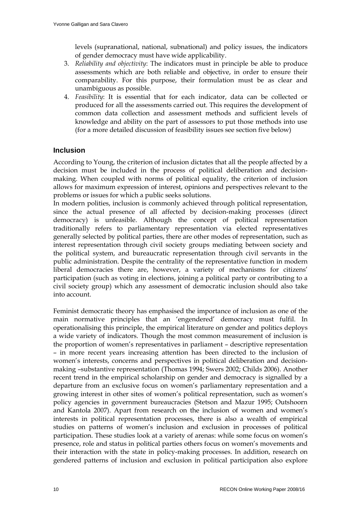levels (supranational, national, subnational) and policy issues, the indicators of gender democracy must have wide applicability.

- 3. *Reliability and objectivity*: The indicators must in principle be able to produce assessments which are both reliable and objective, in order to ensure their comparability. For this purpose, their formulation must be as clear and unambiguous as possible.
- 4. *Feasibility*: It is essential that for each indicator, data can be collected or produced for all the assessments carried out. This requires the development of common data collection and assessment methods and sufficient levels of knowledge and ability on the part of assessors to put those methods into use (for a more detailed discussion of feasibility issues see section five below)

# **Inclusion**

According to Young, the criterion of inclusion dictates that all the people affected by a decision must be included in the process of political deliberation and decisionmaking. When coupled with norms of political equality, the criterion of inclusion allows for maximum expression of interest, opinions and perspectives relevant to the problems or issues for which a public seeks solutions.

In modern polities, inclusion is commonly achieved through political representation, since the actual presence of all affected by decision-making processes (direct democracy) is unfeasible. Although the concept of political representation traditionally refers to parliamentary representation via elected representatives generally selected by political parties, there are other modes of representation, such as interest representation through civil society groups mediating between society and the political system, and bureaucratic representation through civil servants in the public administration. Despite the centrality of the representative function in modern liberal democracies there are, however, a variety of mechanisms for citizens' participation (such as voting in elections, joining a political party or contributing to a civil society group) which any assessment of democratic inclusion should also take into account.

Feminist democratic theory has emphasised the importance of inclusion as one of the main normative principles that an "engendered" democracy must fulfil. In operationalising this principle, the empirical literature on gender and politics deploys a wide variety of indicators. Though the most common measurement of inclusion is the proportion of women"s representatives in parliament – descriptive representation – in more recent years increasing attention has been directed to the inclusion of women"s interests, concerns and perspectives in political deliberation and decisionmaking –substantive representation (Thomas 1994; Swers 2002; Childs 2006). Another recent trend in the empirical scholarship on gender and democracy is signalled by a departure from an exclusive focus on women"s parliamentary representation and a growing interest in other sites of women"s political representation, such as women"s policy agencies in government bureaucracies (Stetson and Mazur 1995; Outshoorn and Kantola 2007). Apart from research on the inclusion of women and women"s interests in political representation processes, there is also a wealth of empirical studies on patterns of women"s inclusion and exclusion in processes of political participation. These studies look at a variety of arenas: while some focus on women"s presence, role and status in political parties others focus on women"s movements and their interaction with the state in policy-making processes. In addition, research on gendered patterns of inclusion and exclusion in political participation also explore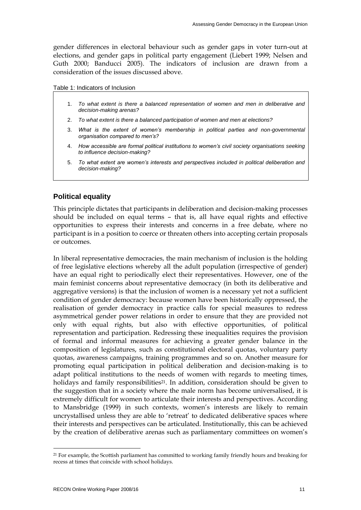gender differences in electoral behaviour such as gender gaps in voter turn-out at elections, and gender gaps in political party engagement (Liebert 1999; Nelsen and Guth 2000; Banducci 2005). The indicators of inclusion are drawn from a consideration of the issues discussed above.

Table 1: Indicators of Inclusion

- 1. *To what extent is there a balanced representation of women and men in deliberative and decision-making arenas?*
- 2. *To what extent is there a balanced participation of women and men at elections?*
- 3. *What is the extent of women's membership in political parties and non-governmental organisation compared to men's?*
- 4. *How accessible are formal political institutions to women's civil society organisations seeking to influence decision-making?*
- 5. *To what extent are women's interests and perspectives included in political deliberation and decision-making?*

# **Political equality**

This principle dictates that participants in deliberation and decision-making processes should be included on equal terms – that is, all have equal rights and effective opportunities to express their interests and concerns in a free debate, where no participant is in a position to coerce or threaten others into accepting certain proposals or outcomes.

In liberal representative democracies, the main mechanism of inclusion is the holding of free legislative elections whereby all the adult population (irrespective of gender) have an equal right to periodically elect their representatives. However, one of the main feminist concerns about representative democracy (in both its deliberative and aggregative versions) is that the inclusion of women is a necessary yet not a sufficient condition of gender democracy: because women have been historically oppressed, the realisation of gender democracy in practice calls for special measures to redress asymmetrical gender power relations in order to ensure that they are provided not only with equal rights, but also with effective opportunities, of political representation and participation. Redressing these inequalities requires the provision of formal and informal measures for achieving a greater gender balance in the composition of legislatures, such as constitutional electoral quotas, voluntary party quotas, awareness campaigns, training programmes and so on. Another measure for promoting equal participation in political deliberation and decision-making is to adapt political institutions to the needs of women with regards to meeting times, holidays and family responsibilities<sup>21</sup>. In addition, consideration should be given to the suggestion that in a society where the male norm has become universalised, it is extremely difficult for women to articulate their interests and perspectives. According to Mansbridge (1999) in such contexts, women"s interests are likely to remain uncrystallised unless they are able to 'retreat' to dedicated deliberative spaces where their interests and perspectives can be articulated. Institutionally, this can be achieved by the creation of deliberative arenas such as parliamentary committees on women"s

<sup>&</sup>lt;sup>21</sup> For example, the Scottish parliament has committed to working family friendly hours and breaking for recess at times that coincide with school holidays.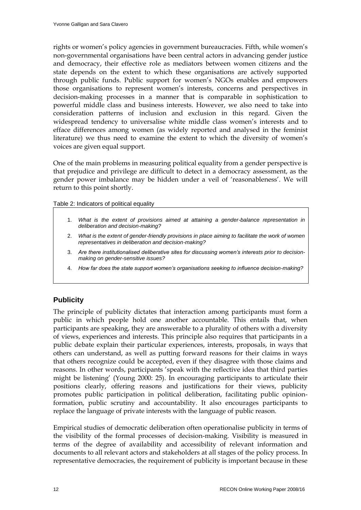rights or women"s policy agencies in government bureaucracies. Fifth, while women"s non-governmental organisations have been central actors in advancing gender justice and democracy, their effective role as mediators between women citizens and the state depends on the extent to which these organisations are actively supported through public funds. Public support for women"s NGOs enables and empowers those organisations to represent women"s interests, concerns and perspectives in decision-making processes in a manner that is comparable in sophistication to powerful middle class and business interests. However, we also need to take into consideration patterns of inclusion and exclusion in this regard. Given the widespread tendency to universalise white middle class women"s interests and to efface differences among women (as widely reported and analysed in the feminist literature) we thus need to examine the extent to which the diversity of women"s voices are given equal support.

One of the main problems in measuring political equality from a gender perspective is that prejudice and privilege are difficult to detect in a democracy assessment, as the gender power imbalance may be hidden under a veil of "reasonableness". We will return to this point shortly.

Table 2: Indicators of political equality

- 1. *What is the extent of provisions aimed at attaining a gender-balance representation in deliberation and decision-making?*
- 2. *What is the extent of gender-friendly provisions in place aiming to facilitate the work of women representatives in deliberation and decision-making?*
- 3. *Are there institutionalised deliberative sites for discussing women's interests prior to decisionmaking on gender-sensitive issues?*
- 4. *How far does the state support women's organisations seeking to influence decision-making?*

# **Publicity**

The principle of publicity dictates that interaction among participants must form a public in which people hold one another accountable. This entails that, when participants are speaking, they are answerable to a plurality of others with a diversity of views, experiences and interests. This principle also requires that participants in a public debate explain their particular experiences, interests, proposals, in ways that others can understand, as well as putting forward reasons for their claims in ways that others recognize could be accepted, even if they disagree with those claims and reasons. In other words, participants "speak with the reflective idea that third parties might be listening" (Young 2000: 25). In encouraging participants to articulate their positions clearly, offering reasons and justifications for their views, publicity promotes public participation in political deliberation, facilitating public opinionformation, public scrutiny and accountability. It also encourages participants to replace the language of private interests with the language of public reason.

Empirical studies of democratic deliberation often operationalise publicity in terms of the visibility of the formal processes of decision-making. Visibility is measured in terms of the degree of availability and accessibility of relevant information and documents to all relevant actors and stakeholders at all stages of the policy process. In representative democracies, the requirement of publicity is important because in these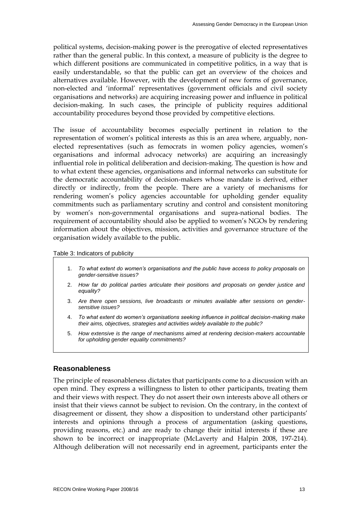political systems, decision-making power is the prerogative of elected representatives rather than the general public. In this context, a measure of publicity is the degree to which different positions are communicated in competitive politics, in a way that is easily understandable, so that the public can get an overview of the choices and alternatives available. However, with the development of new forms of governance, non-elected and "informal" representatives (government officials and civil society organisations and networks) are acquiring increasing power and influence in political decision-making. In such cases, the principle of publicity requires additional accountability procedures beyond those provided by competitive elections.

The issue of accountability becomes especially pertinent in relation to the representation of women"s political interests as this is an area where, arguably, nonelected representatives (such as femocrats in women policy agencies, women"s organisations and informal advocacy networks) are acquiring an increasingly influential role in political deliberation and decision-making. The question is how and to what extent these agencies, organisations and informal networks can substitute for the democratic accountability of decision-makers whose mandate is derived, either directly or indirectly, from the people. There are a variety of mechanisms for rendering women's policy agencies accountable for upholding gender equality commitments such as parliamentary scrutiny and control and consistent monitoring by women"s non-governmental organisations and supra-national bodies. The requirement of accountability should also be applied to women"s NGOs by rendering information about the objectives, mission, activities and governance structure of the organisation widely available to the public.

Table 3: Indicators of publicity

- 1. *To what extent do women's organisations and the public have access to policy proposals on gender-sensitive issues?*
- 2. *How far do political parties articulate their positions and proposals on gender justice and equality?*
- 3. *Are there open sessions, live broadcasts or minutes available after sessions on gendersensitive issues?*
- 4. *To what extent do women's organisations seeking influence in political decision-making make their aims, objectives, strategies and activities widely available to the public?*
- 5. *How extensive is the range of mechanisms aimed at rendering decision-makers accountable for upholding gender equality commitments?*

# **Reasonableness**

The principle of reasonableness dictates that participants come to a discussion with an open mind. They express a willingness to listen to other participants, treating them and their views with respect. They do not assert their own interests above all others or insist that their views cannot be subject to revision. On the contrary, in the context of disagreement or dissent, they show a disposition to understand other participants' interests and opinions through a process of argumentation (asking questions, providing reasons, etc.) and are ready to change their initial interests if these are shown to be incorrect or inappropriate (McLaverty and Halpin 2008, 197-214). Although deliberation will not necessarily end in agreement, participants enter the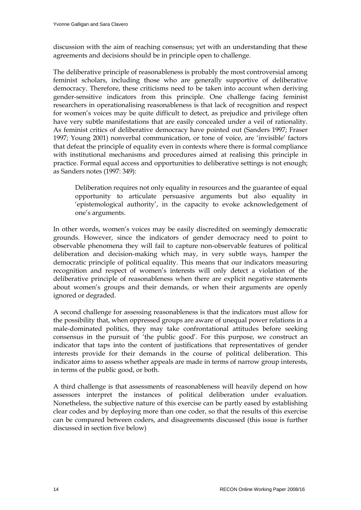discussion with the aim of reaching consensus; yet with an understanding that these agreements and decisions should be in principle open to challenge.

The deliberative principle of reasonableness is probably the most controversial among feminist scholars, including those who are generally supportive of deliberative democracy. Therefore, these criticisms need to be taken into account when deriving gender-sensitive indicators from this principle. One challenge facing feminist researchers in operationalising reasonableness is that lack of recognition and respect for women"s voices may be quite difficult to detect, as prejudice and privilege often have very subtle manifestations that are easily concealed under a veil of rationality. As feminist critics of deliberative democracy have pointed out (Sanders 1997; Fraser 1997; Young 2001) nonverbal communication, or tone of voice, are "invisible" factors that defeat the principle of equality even in contexts where there is formal compliance with institutional mechanisms and procedures aimed at realising this principle in practice. Formal equal access and opportunities to deliberative settings is not enough; as Sanders notes (1997: 349):

Deliberation requires not only equality in resources and the guarantee of equal opportunity to articulate persuasive arguments but also equality in 'epistemological authority', in the capacity to evoke acknowledgement of one"s arguments.

In other words, women's voices may be easily discredited on seemingly democratic grounds. However, since the indicators of gender democracy need to point to observable phenomena they will fail to capture non-observable features of political deliberation and decision-making which may, in very subtle ways, hamper the democratic principle of political equality. This means that our indicators measuring recognition and respect of women"s interests will only detect a violation of the deliberative principle of reasonableness when there are explicit negative statements about women"s groups and their demands, or when their arguments are openly ignored or degraded.

A second challenge for assessing reasonableness is that the indicators must allow for the possibility that, when oppressed groups are aware of unequal power relations in a male-dominated politics, they may take confrontational attitudes before seeking consensus in the pursuit of "the public good". For this purpose, we construct an indicator that taps into the content of justifications that representatives of gender interests provide for their demands in the course of political deliberation. This indicator aims to assess whether appeals are made in terms of narrow group interests, in terms of the public good, or both.

A third challenge is that assessments of reasonableness will heavily depend on how assessors interpret the instances of political deliberation under evaluation. Nonetheless, the subjective nature of this exercise can be partly eased by establishing clear codes and by deploying more than one coder, so that the results of this exercise can be compared between coders, and disagreements discussed (this issue is further discussed in section five below)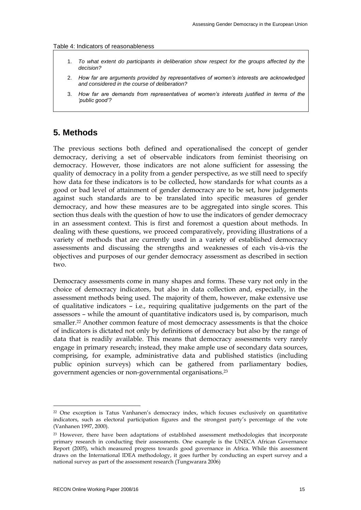#### Table 4: Indicators of reasonableness

- 1. *To what extent do participants in deliberation show respect for the groups affected by the decision?*
- 2. *How far are arguments provided by representatives of women's interests are acknowledged and considered in the course of deliberation?*
- 3. *How far are demands from representatives of women's interests justified in terms of the 'public good'?*

# **5. Methods**

The previous sections both defined and operationalised the concept of gender democracy, deriving a set of observable indicators from feminist theorising on democracy. However, those indicators are not alone sufficient for assessing the quality of democracy in a polity from a gender perspective, as we still need to specify how data for these indicators is to be collected, how standards for what counts as a good or bad level of attainment of gender democracy are to be set, how judgements against such standards are to be translated into specific measures of gender democracy, and how these measures are to be aggregated into single scores. This section thus deals with the question of how to use the indicators of gender democracy in an assessment context. This is first and foremost a question about methods. In dealing with these questions, we proceed comparatively, providing illustrations of a variety of methods that are currently used in a variety of established democracy assessments and discussing the strengths and weaknesses of each vis-à-vis the objectives and purposes of our gender democracy assessment as described in section two.

Democracy assessments come in many shapes and forms. These vary not only in the choice of democracy indicators, but also in data collection and, especially, in the assessment methods being used. The majority of them, however, make extensive use of qualitative indicators – i.e., requiring qualitative judgements on the part of the assessors – while the amount of quantitative indicators used is, by comparison, much smaller.22 Another common feature of most democracy assessments is that the choice of indicators is dictated not only by definitions of democracy but also by the range of data that is readily available. This means that democracy assessments very rarely engage in primary research; instead, they make ample use of secondary data sources, comprising, for example, administrative data and published statistics (including public opinion surveys) which can be gathered from parliamentary bodies, government agencies or non-governmental organisations.<sup>23</sup>

<sup>&</sup>lt;sup>22</sup> One exception is Tatus Vanhanen's democracy index, which focuses exclusively on quantitative indicators, such as electoral participation figures and the strongest party"s percentage of the vote (Vanhanen 1997, 2000).

<sup>&</sup>lt;sup>23</sup> However, there have been adaptations of established assessment methodologies that incorporate primary research in conducting their assessments. One example is the UNECA African Governance Report (2005), which measured progress towards good governance in Africa. While this assessment draws on the International IDEA methodology, it goes further by conducting an expert survey and a national survey as part of the assessment research (Tungwarara 2006)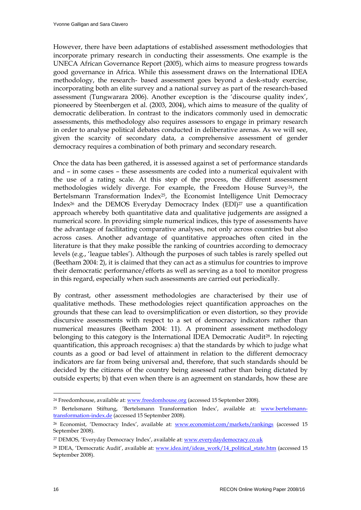However, there have been adaptations of established assessment methodologies that incorporate primary research in conducting their assessments. One example is the UNECA African Governance Report (2005), which aims to measure progress towards good governance in Africa. While this assessment draws on the International IDEA methodology, the research- based assessment goes beyond a desk-study exercise, incorporating both an elite survey and a national survey as part of the research-based assessment (Tungwarara 2006). Another exception is the "discourse quality index", pioneered by Steenbergen et al. (2003, 2004), which aims to measure of the quality of democratic deliberation. In contrast to the indicators commonly used in democratic assessments, this methodology also requires assessors to engage in primary research in order to analyse political debates conducted in deliberative arenas. As we will see, given the scarcity of secondary data, a comprehensive assessment of gender democracy requires a combination of both primary and secondary research.

Once the data has been gathered, it is assessed against a set of performance standards and – in some cases – these assessments are coded into a numerical equivalent with the use of a rating scale. At this step of the process, the different assessment methodologies widely diverge. For example, the Freedom House Survey<sup>24</sup>, the Bertelsmann Transformation Index<sup>25</sup>, the Economist Intelligence Unit Democracy Index26 and the DEMOS Everyday Democracy Index (EDI)27 use a quantification approach whereby both quantitative data and qualitative judgements are assigned a numerical score. In providing simple numerical indices, this type of assessments have the advantage of facilitating comparative analyses, not only across countries but also across cases. Another advantage of quantitative approaches often cited in the literature is that they make possible the ranking of countries according to democracy levels (e.g., "league tables"). Although the purposes of such tables is rarely spelled out (Beetham 2004: 2), it is claimed that they can act as a stimulus for countries to improve their democratic performance/efforts as well as serving as a tool to monitor progress in this regard, especially when such assessments are carried out periodically.

By contrast, other assessment methodologies are characterised by their use of qualitative methods. These methodologies reject quantification approaches on the grounds that these can lead to oversimplification or even distortion, so they provide discursive assessments with respect to a set of democracy indicators rather than numerical measures (Beetham 2004: 11). A prominent assessment methodology belonging to this category is the International IDEA Democratic Audit<sup>28</sup>. In rejecting quantification, this approach recognises: a) that the standards by which to judge what counts as a good or bad level of attainment in relation to the different democracy indicators are far from being universal and, therefore, that such standards should be decided by the citizens of the country being assessed rather than being dictated by outside experts; b) that even when there is an agreement on standards, how these are

<sup>&</sup>lt;sup>24</sup> Freedomhouse, available at: [www.freedomhouse.org \(](http://www.freedomhouse.org/)accessed 15 September 2008).

<sup>&</sup>lt;sup>25</sup> Bertelsmann Stiftung, 'Bertelsmann Transformation Index', available at: [www.bertelsmann](http://www.bertelsmann-transformation-index.de/)[transformation-index.de](http://www.bertelsmann-transformation-index.de/) (accessed 15 September 2008).

<sup>26</sup> Economist, "Democracy Index", available at: [www.economist.com/markets/rankings](http://www.economist.com/markets/rankings) (accessed 15 September 2008).

<sup>&</sup>lt;sup>27</sup> DEMOS, 'Everyday Democracy Index', available at: **www.everydaydemocracy.co.uk** 

<sup>&</sup>lt;sup>28</sup> IDEA, 'Democratic Audit', available at: [www.idea.int/ideas\\_work/14\\_political\\_state.htm](http://www.idea.int/ideas_work/14_political_state.htm) (accessed 15 September 2008).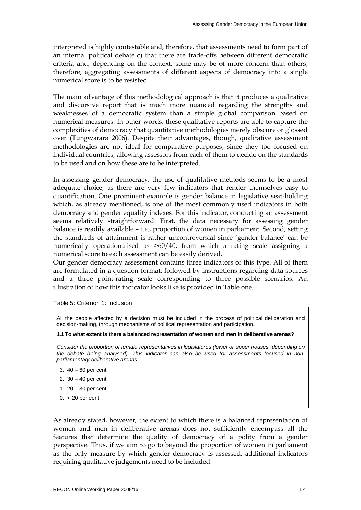interpreted is highly contestable and, therefore, that assessments need to form part of an internal political debate c) that there are trade-offs between different democratic criteria and, depending on the context, some may be of more concern than others; therefore, aggregating assessments of different aspects of democracy into a single numerical score is to be resisted.

The main advantage of this methodological approach is that it produces a qualitative and discursive report that is much more nuanced regarding the strengths and weaknesses of a democratic system than a simple global comparison based on numerical measures. In other words, these qualitative reports are able to capture the complexities of democracy that quantitative methodologies merely obscure or glossed over (Tungwarara 2006). Despite their advantages, though, qualitative assessment methodologies are not ideal for comparative purposes, since they too focused on individual countries, allowing assessors from each of them to decide on the standards to be used and on how these are to be interpreted.

In assessing gender democracy, the use of qualitative methods seems to be a most adequate choice, as there are very few indicators that render themselves easy to quantification. One prominent example is gender balance in legislative seat-holding which, as already mentioned, is one of the most commonly used indicators in both democracy and gender equality indexes. For this indicator, conducting an assessment seems relatively straightforward. First, the data necessary for assessing gender balance is readily available – i.e., proportion of women in parliament. Second, setting the standards of attainment is rather uncontroversial since "gender balance" can be numerically operationalised as >60/40, from which a rating scale assigning a numerical score to each assessment can be easily derived.

Our gender democracy assessment contains three indicators of this type. All of them are formulated in a question format, followed by instructions regarding data sources and a three point-rating scale corresponding to three possible scenarios. An illustration of how this indicator looks like is provided in Table one.



All the people affected by a decision must be included in the process of political deliberation and decision-making, through mechanisms of political representation and participation.

**1.1 To what extent is there a balanced representation of women and men in deliberative arenas?**

*Consider the proportion of female representatives in legislatures (lower or upper houses, depending on the debate being analysed). This indicator can also be used for assessments focused in nonparliamentary deliberative arenas* 

- 3. 40 60 per cent
- 2. 30 40 per cent
- 1. 20 30 per cent
- $0. < 20$  per cent

As already stated, however, the extent to which there is a balanced representation of women and men in deliberative arenas does not sufficiently encompass all the features that determine the quality of democracy of a polity from a gender perspective. Thus, if we aim to go to beyond the proportion of women in parliament as the only measure by which gender democracy is assessed, additional indicators requiring qualitative judgements need to be included.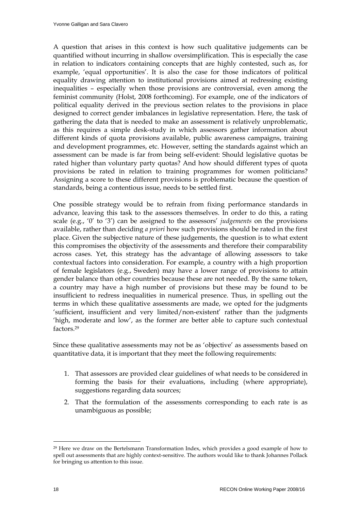A question that arises in this context is how such qualitative judgements can be quantified without incurring in shallow oversimplification. This is especially the case in relation to indicators containing concepts that are highly contested, such as, for example, 'equal opportunities'. It is also the case for those indicators of political equality drawing attention to institutional provisions aimed at redressing existing inequalities – especially when those provisions are controversial, even among the feminist community (Holst, 2008 forthcoming). For example, one of the indicators of political equality derived in the previous section relates to the provisions in place designed to correct gender imbalances in legislative representation. Here, the task of gathering the data that is needed to make an assessment is relatively unproblematic, as this requires a simple desk-study in which assessors gather information about different kinds of quota provisions available, public awareness campaigns, training and development programmes, etc. However, setting the standards against which an assessment can be made is far from being self-evident: Should legislative quotas be rated higher than voluntary party quotas? And how should different types of quota provisions be rated in relation to training programmes for women politicians? Assigning a score to these different provisions is problematic because the question of standards, being a contentious issue, needs to be settled first.

One possible strategy would be to refrain from fixing performance standards in advance, leaving this task to the assessors themselves. In order to do this, a rating scale (e.g., "0" to "3") can be assigned to the assessors" *judgements* on the provisions available, rather than deciding *a priori* how such provisions should be rated in the first place. Given the subjective nature of these judgements, the question is to what extent this compromises the objectivity of the assessments and therefore their comparability across cases. Yet, this strategy has the advantage of allowing assessors to take contextual factors into consideration. For example, a country with a high proportion of female legislators (e.g., Sweden) may have a lower range of provisions to attain gender balance than other countries because these are not needed. By the same token, a country may have a high number of provisions but these may be found to be insufficient to redress inequalities in numerical presence. Thus, in spelling out the terms in which these qualitative assessments are made, we opted for the judgments 'sufficient, insufficient and very limited/non-existent' rather than the judgments 'high, moderate and low', as the former are better able to capture such contextual factors.<sup>29</sup>

Since these qualitative assessments may not be as "objective" as assessments based on quantitative data, it is important that they meet the following requirements:

- 1. That assessors are provided clear guidelines of what needs to be considered in forming the basis for their evaluations, including (where appropriate), suggestions regarding data sources;
- 2. That the formulation of the assessments corresponding to each rate is as unambiguous as possible;

 $\overline{a}$ <sup>29</sup> Here we draw on the Bertelsmann Transformation Index, which provides a good example of how to spell out assessments that are highly context-sensitive. The authors would like to thank Johannes Pollack for bringing us attention to this issue.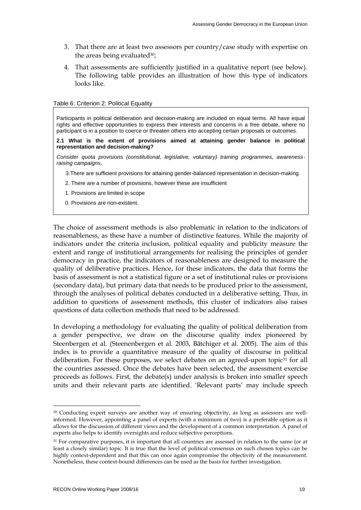- 3. That there are at least two assessors per country/case study with expertise on the areas being evaluated<sup>30</sup>;
- 4. That assessments are sufficiently justified in a qualitative report (see below). The following table provides an illustration of how this type of indicators looks like.

#### Table 6: Criterion 2: Political Equality

Participants in political deliberation and decision-making are included on equal terms. All have equal rights and effective opportunities to express their interests and concerns in a free debate, where no participant is in a position to coerce or threaten others into accepting certain proposals or outcomes.

**2.1 What is the extent of provisions aimed at attaining gender balance in political representation and decision-making?** 

*Consider quota provisions (constitutional, legislative, voluntary) training programmes, awarenessraising campaigns***.** 

3.There are sufficient provisions for attaining gender-balanced representation in decision-making

- 2. There are a number of provisions, however these are insufficient
- 1. Provisions are limited in scope
- 0. Provisions are non-existent.

The choice of assessment methods is also problematic in relation to the indicators of reasonableness, as these have a number of distinctive features. While the majority of indicators under the criteria inclusion, political equality and publicity measure the extent and range of institutional arrangements for realising the principles of gender democracy in practice, the indicators of reasonableness are designed to measure the quality of deliberative practices. Hence, for these indicators, the data that forms the basis of assessment is not a statistical figure or a set of institutional rules or provisions (secondary data), but primary data that needs to be produced prior to the assessment, through the analyses of political debates conducted in a deliberative setting. Thus, in addition to questions of assessment methods, this cluster of indicators also raises questions of data collection methods that need to be addressed.

In developing a methodology for evaluating the quality of political deliberation from a gender perspective, we draw on the discourse quality index pioneered by Steenbergen et al. (Steenenbergen et al. 2003, Bätchiger et al. 2005). The aim of this index is to provide a quantitative measure of the quality of discourse in political deliberation. For these purposes, we select debates on an agreed-upon topic<sup>31</sup> for all the countries assessed. Once the debates have been selected, the assessment exercise proceeds as follows. First, the debate(s) under analysis is broken into smaller speech units and their relevant parts are identified. 'Relevant parts' may include speech

<sup>30</sup> Conducting expert surveys are another way of ensuring objectivity, as long as assessors are wellinformed. However, appointing a panel of experts (with a minimum of two) is a preferable option as it allows for the discussion of different views and the development of a common interpretation. A panel of experts also helps to identify oversights and reduce subjective perceptions.

<sup>&</sup>lt;sup>31</sup> For comparative purposes, it is important that all countries are assessed in relation to the same (or at least a closely similar) topic. It is true that the level of political consensus on such chosen topics can be highly context-dependent and that this can once again compromise the objectivity of the measurement. Nonetheless, these context-bound differences can be used as the basis for further investigation.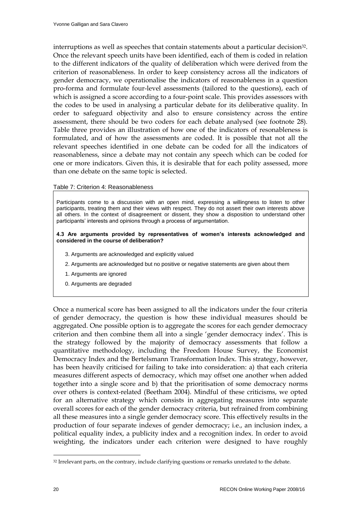interruptions as well as speeches that contain statements about a particular decision<sup>32</sup>. Once the relevant speech units have been identified, each of them is coded in relation to the different indicators of the quality of deliberation which were derived from the criterion of reasonableness. In order to keep consistency across all the indicators of gender democracy, we operationalise the indicators of reasonableness in a question pro-forma and formulate four-level assessments (tailored to the questions), each of which is assigned a score according to a four-point scale. This provides assessors with the codes to be used in analysing a particular debate for its deliberative quality. In order to safeguard objectivity and also to ensure consistency across the entire assessment, there should be two coders for each debate analysed (see footnote 28). Table three provides an illustration of how one of the indicators of resonableness is formulated, and of how the assessments are coded. It is possible that not all the relevant speeches identified in one debate can be coded for all the indicators of reasonableness, since a debate may not contain any speech which can be coded for one or more indicators. Given this, it is desirable that for each polity assessed, more than one debate on the same topic is selected.

#### Table 7: Criterion 4: Reasonableness

Participants come to a discussion with an open mind, expressing a willingness to listen to other participants, treating them and their views with respect. They do not assert their own interests above all others. In the context of disagreement or dissent, they show a disposition to understand other participants' interests and opinions through a process of argumentation.

#### **4.3 Are arguments provided by representatives of women's interests acknowledged and considered in the course of deliberation?**

- 3. Arguments are acknowledged and explicitly valued
- 2. Arguments are acknowledged but no positive or negative statements are given about them
- 1. Arguments are ignored
- 0. Arguments are degraded

Once a numerical score has been assigned to all the indicators under the four criteria of gender democracy, the question is how these individual measures should be aggregated. One possible option is to aggregate the scores for each gender democracy criterion and then combine them all into a single "gender democracy index". This is the strategy followed by the majority of democracy assessments that follow a quantitative methodology, including the Freedom House Survey, the Economist Democracy Index and the Bertelsmann Transformation Index. This strategy, however, has been heavily criticised for failing to take into consideration: a) that each criteria measures different aspects of democracy, which may offset one another when added together into a single score and b) that the prioritisation of some democracy norms over others is context-related (Beetham 2004). Mindful of these criticisms, we opted for an alternative strategy which consists in aggregating measures into separate overall scores for each of the gender democracy criteria, but refrained from combining all these measures into a single gender democracy score. This effectively results in the production of four separate indexes of gender democracy; i.e., an inclusion index, a political equality index, a publicity index and a recognition index. In order to avoid weighting, the indicators under each criterion were designed to have roughly

<sup>&</sup>lt;sup>32</sup> Irrelevant parts, on the contrary, include clarifying questions or remarks unrelated to the debate.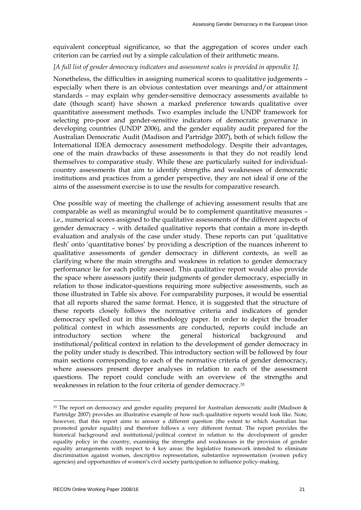equivalent conceptual significance, so that the aggregation of scores under each criterion can be carried out by a simple calculation of their arithmetic means.

## *[A full list of gender democracy indicators and assessment scales is provided in appendix 1].*

Nonetheless, the difficulties in assigning numerical scores to qualitative judgements – especially when there is an obvious contestation over meanings and/or attainment standards – may explain why gender-sensitive democracy assessments available to date (though scant) have shown a marked preference towards qualitative over quantitative assessment methods. Two examples include the UNDP framework for selecting pro-poor and gender-sensitive indicators of democratic governance in developing countries (UNDP 2006), and the gender equality audit prepared for the Australian Democratic Audit (Madison and Partridge 2007), both of which follow the International IDEA democracy assessment methodology. Despite their advantages, one of the main drawbacks of these assessments is that they do not readily lend themselves to comparative study. While these are particularly suited for individualcountry assessments that aim to identify strengths and weaknesses of democratic institutions and practices from a gender perspective, they are not ideal if one of the aims of the assessment exercise is to use the results for comparative research.

One possible way of meeting the challenge of achieving assessment results that are comparable as well as meaningful would be to complement quantitative measures – i.e., numerical scores assigned to the qualitative assessments of the different aspects of gender democracy – with detailed qualitative reports that contain a more in-depth evaluation and analysis of the case under study. These reports can put "qualitative flesh' onto 'quantitative bones' by providing a description of the nuances inherent to qualitative assessments of gender democracy in different contexts, as well as clarifying where the main strengths and weakness in relation to gender democracy performance lie for each polity assessed. This qualitative report would also provide the space where assessors justify their judgments of gender democracy, especially in relation to those indicator-questions requiring more subjective assessments, such as those illustrated in Table six above. For comparability purposes, it would be essential that all reports shared the same format. Hence, it is suggested that the structure of these reports closely follows the normative criteria and indicators of gender democracy spelled out in this methodology paper. In order to depict the broader political context in which assessments are conducted, reports could include an introductory section where the general historical background and institutional/political context in relation to the development of gender democracy in the polity under study is described. This introductory section will be followed by four main sections corresponding to each of the normative criteria of gender democracy, where assessors present deeper analyses in relation to each of the assessment questions. The report could conclude with an overview of the strengths and weaknesses in relation to the four criteria of gender democracy.<sup>33</sup>

<sup>33</sup> The report on democracy and gender equality prepared for Australian democratic audit (Madison & Partridge 2007) provides an illustrative example of how such qualitative reports would look like. Note, however, that this report aims to answer a different question (the extent to which Australian has promoted gender equality) and therefore follows a very different format. The report provides the historical background and institutional/political context in relation to the development of gender equality policy in the country, examining the strengths and weaknesses in the provision of gender equality arrangements with respect to 4 key areas: the legislative framework intended to eliminate discrimination against women, descriptive representation, substantive representation (women policy agencies) and opportunities of women's civil society participation to influence policy-making.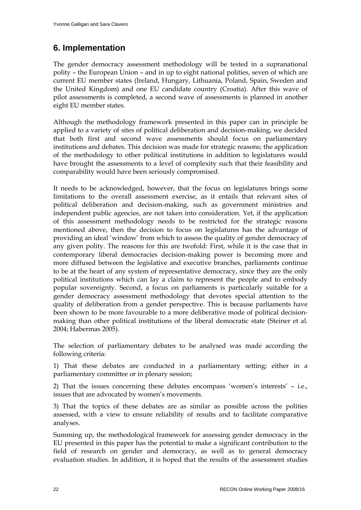# **6. Implementation**

The gender democracy assessment methodology will be tested in a supranational polity – the European Union – and in up to eight national polities, seven of which are current EU member states (Ireland, Hungary, Lithuania, Poland, Spain, Sweden and the United Kingdom) and one EU candidate country (Croatia). After this wave of pilot assessments is completed, a second wave of assessments is planned in another eight EU member states.

Although the methodology framework presented in this paper can in principle be applied to a variety of sites of political deliberation and decision-making, we decided that both first and second wave assessments should focus on parliamentary institutions and debates. This decision was made for strategic reasons; the application of the methodology to other political institutions in addition to legislatures would have brought the assessments to a level of complexity such that their feasibility and comparability would have been seriously compromised.

It needs to be acknowledged, however, that the focus on legislatures brings some limitations to the overall assessment exercise, as it entails that relevant sites of political deliberation and decision-making, such as government ministries and independent public agencies, are not taken into consideration. Yet, if the application of this assessment methodology needs to be restricted for the strategic reasons mentioned above, then the decision to focus on legislatures has the advantage of providing an ideal "window" from which to assess the quality of gender democracy of any given polity. The reasons for this are twofold: First, while it is the case that in contemporary liberal democracies decision-making power is becoming more and more diffused between the legislative and executive branches, parliaments continue to be at the heart of any system of representative democracy, since they are the only political institutions which can lay a claim to represent the people and to embody popular sovereignty. Second, a focus on parliaments is particularly suitable for a gender democracy assessment methodology that devotes special attention to the quality of deliberation from a gender perspective. This is because parliaments have been shown to be more favourable to a more deliberative mode of political decisionmaking than other political institutions of the liberal democratic state (Steiner et al. 2004; Habermas 2005).

The selection of parliamentary debates to be analysed was made according the following criteria:

1) That these debates are conducted in a parliamentary setting; either in a parliamentary committee or in plenary session;

2) That the issues concerning these debates encompass "women"s interests" – i.e., issues that are advocated by women's movements.

3) That the topics of these debates are as similar as possible across the polities assessed, with a view to ensure reliability of results and to facilitate comparative analyses.

Summing up, the methodological framework for assessing gender democracy in the EU presented in this paper has the potential to make a significant contribution to the field of research on gender and democracy, as well as to general democracy evaluation studies. In addition, it is hoped that the results of the assessment studies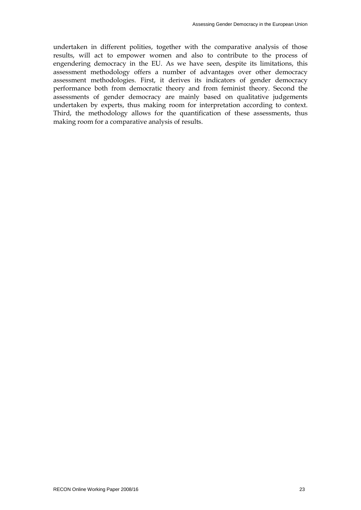undertaken in different polities, together with the comparative analysis of those results, will act to empower women and also to contribute to the process of engendering democracy in the EU. As we have seen, despite its limitations, this assessment methodology offers a number of advantages over other democracy assessment methodologies. First, it derives its indicators of gender democracy performance both from democratic theory and from feminist theory. Second the assessments of gender democracy are mainly based on qualitative judgements undertaken by experts, thus making room for interpretation according to context. Third, the methodology allows for the quantification of these assessments, thus making room for a comparative analysis of results.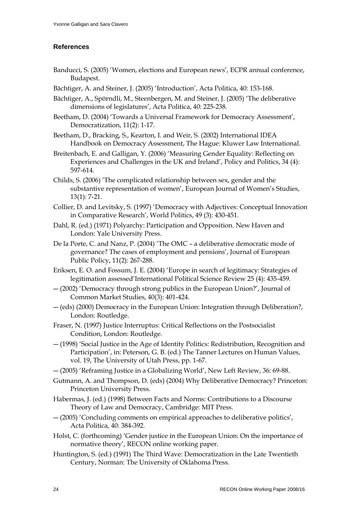# **References**

- Banducci, S. (2005) "Women, elections and European news", ECPR annual conference, Budapest.
- Bächtiger, A. and Steiner, J. (2005) 'Introduction', Acta Politica, 40: 153-168.
- Bächtiger, A., Spörndli, M., Steenbergen, M. and Steiner, J. (2005) "The deliberative dimensions of legislatures', Acta Politica, 40: 225-238.
- Beetham, D. (2004) 'Towards a Universal Framework for Democracy Assessment', Democratization, 11(2): 1-17.
- Beetham, D., Bracking, S., Kearton, I. and Weir, S. (2002) International IDEA Handbook on Democracy Assessment, The Hague: Kluwer Law International.
- Breitenbach, E. and Galligan, Y. (2006) "Measuring Gender Equality: Reflecting on Experiences and Challenges in the UK and Ireland", Policy and Politics, 34 (4): 597-614.
- Childs, S. (2006) "The complicated relationship between sex, gender and the substantive representation of women', European Journal of Women's Studies, 13(1): 7-21.
- Collier, D. and Levitsky, S. (1997) "Democracy with Adjectives: Conceptual Innovation in Comparative Research', World Politics, 49 (3): 430-451.
- Dahl, R. (ed.) (1971) Polyarchy: Participation and Opposition. New Haven and London: Yale University Press.
- De la Porte, C. and Nanz, P. (2004) "The OMC a deliberative democratic mode of governance? The cases of employment and pensions", Journal of European Public Policy, 11(2): 267-288.
- Eriksen, E. O. and Fossum, J. E. (2004) "Europe in search of legitimacy: Strategies of legitimation assessed"International Political Science Review 25 (4): 435-459.
- ― (2002) "Democracy through strong publics in the European Union?", Journal of Common Market Studies, 40(3): 401-424.
- ― (eds) (2000) Democracy in the European Union: Integration through Deliberation?, London: Routledge.
- Fraser, N. (1997) Justice Interruptus: Critical Reflections on the Postsocialist Condition, London: Routledge.
- ― (1998) "Social Justice in the Age of Identity Politics: Redistribution, Recognition and Participation", in: Peterson, G. B. (ed.) The Tanner Lectures on Human Values, vol. 19, The University of Utah Press, pp. 1-67.
- ― (2005) "Reframing Justice in a Globalizing World", New Left Review, 36: 69-88.
- Gutmann, A. and Thompson, D. (eds) (2004) Why Deliberative Democracy? Princeton: Princeton University Press.
- Habermas, J. (ed.) (1998) Between Facts and Norms: Contributions to a Discourse Theory of Law and Democracy, Cambridge: MIT Press.
- ― (2005) "Concluding comments on empirical approaches to deliberative politics", Acta Politica, 40: 384-392.
- Holst, C. (forthcoming) "Gender justice in the European Union: On the importance of normative theory", RECON online working paper.
- Huntington, S. (ed.) (1991) The Third Wave: Democratization in the Late Twentieth Century, Norman: The University of Oklahoma Press.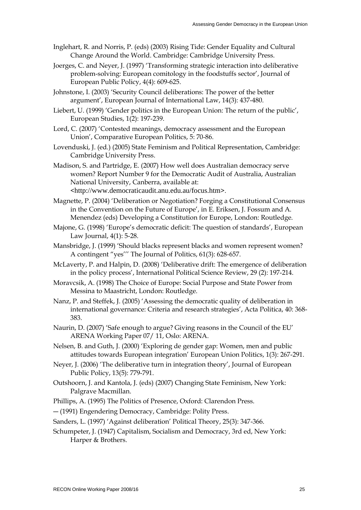- Inglehart, R. and Norris, P. (eds) (2003) Rising Tide: Gender Equality and Cultural Change Around the World. Cambridge: Cambridge University Press.
- Joerges, C. and Neyer, J. (1997) "Transforming strategic interaction into deliberative problem-solving: European comitology in the foodstuffs sector', Journal of European Public Policy, 4(4): 609-625.
- Johnstone, I. (2003) "Security Council deliberations: The power of the better argument", European Journal of International Law, 14(3): 437-480.
- Liebert, U. (1999) 'Gender politics in the European Union: The return of the public', European Studies, 1(2): 197-239.
- Lord, C. (2007) "Contested meanings, democracy assessment and the European Union", Comparative European Politics, 5: 70-86.
- Lovenduski, J. (ed.) (2005) State Feminism and Political Representation, Cambridge: Cambridge University Press.
- Madison, S. and Partridge, E. (2007) How well does Australian democracy serve women? Report Number 9 for the Democratic Audit of Australia, Australian National University, Canberra, available at: <<http://www.democraticaudit.anu.edu.au/focus.htm>>.
- Magnette, P. (2004) "Deliberation or Negotiation? Forging a Constitutional Consensus in the Convention on the Future of Europe', in E. Eriksen, J. Fossum and A. Menendez (eds) Developing a Constitution for Europe, London: Routledge.
- Majone, G. (1998) 'Europe's democratic deficit: The question of standards', European Law Journal, 4(1): 5-28.
- Mansbridge, J. (1999) "Should blacks represent blacks and women represent women? A contingent "yes""" The Journal of Politics, 61(3): 628-657.
- McLaverty, P. and Halpin, D. (2008) "Deliberative drift: The emergence of deliberation in the policy process", International Political Science Review, 29 (2): 197-214.
- Moravcsik, A. (1998) The Choice of Europe: Social Purpose and State Power from Messina to Maastricht, London: Routledge.
- Nanz, P. and Steffek, J. (2005) "Assessing the democratic quality of deliberation in international governance: Criteria and research strategies", Acta Politica, 40: 368- 383.
- Naurin, D. (2007) "Safe enough to argue? Giving reasons in the Council of the EU" ARENA Working Paper 07/ 11, Oslo: ARENA.
- Nelsen, B. and Guth, J. (2000) "Exploring de gender gap: Women, men and public attitudes towards European integration" European Union Politics, 1(3): 267-291.
- Neyer, J. (2006) "The deliberative turn in integration theory", Journal of European Public Policy, 13(5): 779-791.
- Outshoorn, J. and Kantola, J. (eds) (2007) Changing State Feminism, New York: Palgrave Macmillan.

Phillips, A. (1995) The Politics of Presence, Oxford: Clarendon Press.

― (1991) Engendering Democracy, Cambridge: Polity Press.

Sanders, L. (1997) 'Against deliberation' Political Theory, 25(3): 347-366.

Schumpeter, J. (1947) Capitalism, Socialism and Democracy, 3rd ed, New York: Harper & Brothers.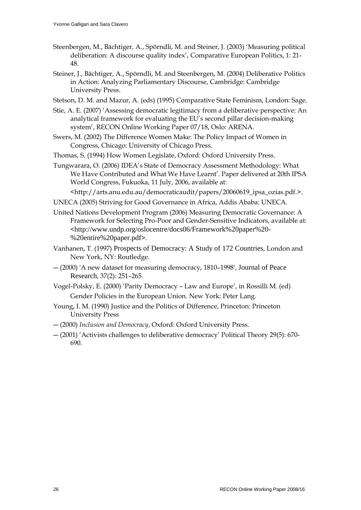- Steenbergen, M., Bächtiger, A., Spörndli, M. and Steiner, J. (2003) "Measuring political deliberation: A discourse quality index", Comparative European Politics, 1: 21- 48.
- Steiner, J., Bächtiger, A., Spörndli, M. and Steenbergen, M. (2004) Deliberative Politics in Action: Analyzing Parliamentary Discourse, Cambridge: Cambridge University Press.
- Stetson, D. M. and Mazur, A. (eds) (1995) Comparative State Feminism, London: Sage.
- Stie, A. E. (2007) "Assessing democratic legitimacy from a deliberative perspective: An analytical framework for evaluating the EU"s second pillar decision-making system", RECON Online Working Paper 07/18, Oslo: ARENA.
- Swers, M. (2002) The Difference Women Make: The Policy Impact of Women in Congress, Chicago: University of Chicago Press.
- Thomas, S. (1994) How Women Legislate, Oxford: Oxford University Press.
- Tungwarara, O. (2006) IDEA"s State of Democracy Assessment Methodology: What We Have Contributed and What We Have Learnt'. Paper delivered at 20th IPSA World Congress, Fukuoka, 11 July, 2006, available at:
	- [<http://arts.anu.edu.au/democraticaudit/papers/20060619\\_ipsa\\_ozias.pdf.](http://arts.anu.edu.au/democraticaudit/papers/20060619_ipsa_ozias.pdf)>.
- UNECA (2005) Striving for Good Governance in Africa, Addis Ababa: UNECA.
- United Nations Development Program (2006) Measuring Democratic Governance: A Framework for Selecting Pro-Poor and Gender-Sensitive Indicators, available at: <[http://www.undp.org/oslocentre/docs06/Framework%20paper%20-](http://www.undp.org/oslocentre/docs06/Framework%20paper%20-%20entire%20paper.pdf) [%20entire%20paper.pdf](http://www.undp.org/oslocentre/docs06/Framework%20paper%20-%20entire%20paper.pdf)>.
- Vanhanen, T. (1997) Prospects of Democracy: A Study of 172 Countries, London and New York, NY: Routledge.
- ― (2000) 'A new dataset for measuring democracy, 1810–1998', Journal of Peace Research, 37(2): 251–265.
- Vogel-Polsky, E. (2000) "Parity Democracy Law and Europe", in Rossilli M. (ed) Gender Policies in the European Union. New York: Peter Lang.
- Young, I. M. (1990) Justice and the Politics of Difference, Princeton: Princeton University Press
- ― (2000) *Inclusion and Democracy*, Oxford: Oxford University Press.
- ― (2001) "Activists challenges to deliberative democracy" Political Theory 29(5): 670- 690.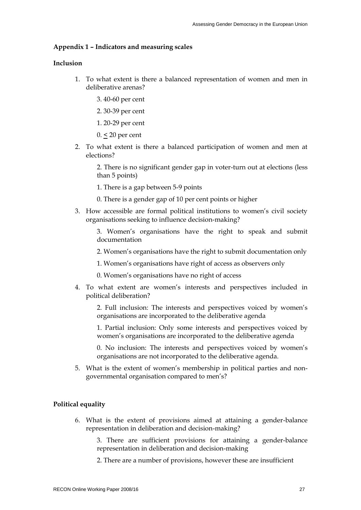## **Appendix 1 – Indicators and measuring scales**

## **Inclusion**

- 1. To what extent is there a balanced representation of women and men in deliberative arenas?
	- 3. 40-60 per cent
	- 2. 30-39 per cent
	- 1. 20-29 per cent
	- 0. < 20 per cent
- 2. To what extent is there a balanced participation of women and men at elections?

2. There is no significant gender gap in voter-turn out at elections (less than 5 points)

- 1. There is a gap between 5-9 points
- 0. There is a gender gap of 10 per cent points or higher
- 3. How accessible are formal political institutions to women"s civil society organisations seeking to influence decision-making?
	- 3. Women"s organisations have the right to speak and submit documentation
	- 2. Women"s organisations have the right to submit documentation only
	- 1. Women"s organisations have right of access as observers only
	- 0. Women"s organisations have no right of access
- 4. To what extent are women"s interests and perspectives included in political deliberation?

2. Full inclusion: The interests and perspectives voiced by women"s organisations are incorporated to the deliberative agenda

1. Partial inclusion: Only some interests and perspectives voiced by women"s organisations are incorporated to the deliberative agenda

0. No inclusion: The interests and perspectives voiced by women"s organisations are not incorporated to the deliberative agenda.

5. What is the extent of women"s membership in political parties and nongovernmental organisation compared to men's?

## **Political equality**

6. What is the extent of provisions aimed at attaining a gender-balance representation in deliberation and decision-making?

3. There are sufficient provisions for attaining a gender-balance representation in deliberation and decision-making

2. There are a number of provisions, however these are insufficient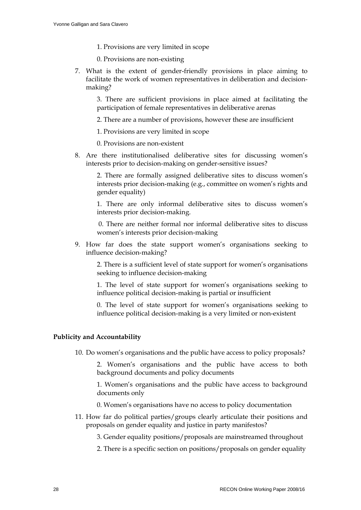- 1. Provisions are very limited in scope
- 0. Provisions are non-existing
- 7. What is the extent of gender-friendly provisions in place aiming to facilitate the work of women representatives in deliberation and decisionmaking?

3. There are sufficient provisions in place aimed at facilitating the participation of female representatives in deliberative arenas

2. There are a number of provisions, however these are insufficient

1. Provisions are very limited in scope

- 0. Provisions are non-existent
- 8. Are there institutionalised deliberative sites for discussing women"s interests prior to decision-making on gender-sensitive issues?

2. There are formally assigned deliberative sites to discuss women"s interests prior decision-making (e.g., committee on women"s rights and gender equality)

1. There are only informal deliberative sites to discuss women"s interests prior decision-making.

 0. There are neither formal nor informal deliberative sites to discuss women"s interests prior decision-making

9. How far does the state support women"s organisations seeking to influence decision-making?

2. There is a sufficient level of state support for women"s organisations seeking to influence decision-making

1. The level of state support for women"s organisations seeking to influence political decision-making is partial or insufficient

0. The level of state support for women"s organisations seeking to influence political decision-making is a very limited or non-existent

# **Publicity and Accountability**

10. Do women"s organisations and the public have access to policy proposals?

2. Women"s organisations and the public have access to both background documents and policy documents

1. Women"s organisations and the public have access to background documents only

- 0. Women"s organisations have no access to policy documentation
- 11. How far do political parties/groups clearly articulate their positions and proposals on gender equality and justice in party manifestos?

3. Gender equality positions/proposals are mainstreamed throughout

2. There is a specific section on positions/proposals on gender equality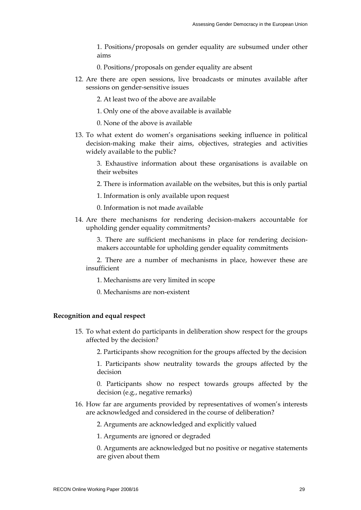1. Positions/proposals on gender equality are subsumed under other aims

- 0. Positions/proposals on gender equality are absent
- 12. Are there are open sessions, live broadcasts or minutes available after sessions on gender-sensitive issues
	- 2. At least two of the above are available
	- 1. Only one of the above available is available
	- 0. None of the above is available
- 13. To what extent do women"s organisations seeking influence in political decision-making make their aims, objectives, strategies and activities widely available to the public?

3. Exhaustive information about these organisations is available on their websites

- 2. There is information available on the websites, but this is only partial
- 1. Information is only available upon request
- 0. Information is not made available
- 14. Are there mechanisms for rendering decision-makers accountable for upholding gender equality commitments?

3. There are sufficient mechanisms in place for rendering decisionmakers accountable for upholding gender equality commitments

2. There are a number of mechanisms in place, however these are insufficient

- 1. Mechanisms are very limited in scope
- 0. Mechanisms are non-existent

### **Recognition and equal respect**

15. To what extent do participants in deliberation show respect for the groups affected by the decision?

2. Participants show recognition for the groups affected by the decision

1. Participants show neutrality towards the groups affected by the decision

0. Participants show no respect towards groups affected by the decision (e.g., negative remarks)

16. How far are arguments provided by representatives of women"s interests are acknowledged and considered in the course of deliberation?

2. Arguments are acknowledged and explicitly valued

1. Arguments are ignored or degraded

0. Arguments are acknowledged but no positive or negative statements are given about them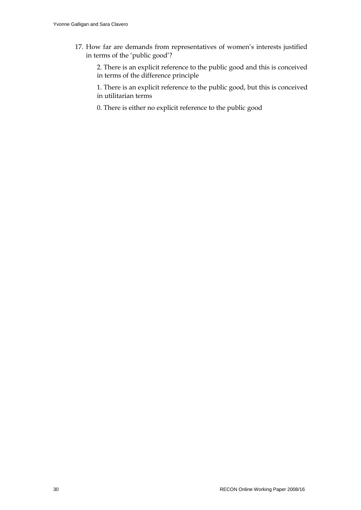17. How far are demands from representatives of women"s interests justified in terms of the 'public good'?

2. There is an explicit reference to the public good and this is conceived in terms of the difference principle

1. There is an explicit reference to the public good, but this is conceived in utilitarian terms

0. There is either no explicit reference to the public good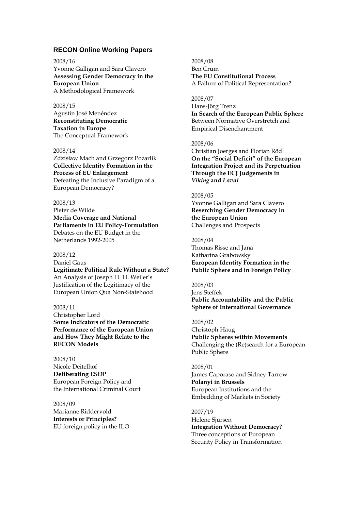## **RECON Online Working Papers**

#### 2008/16 Yvonne Galligan and Sara Clavero **Assessing Gender Democracy in the European Union** A Methodological Framework

2008/15 Agustín José Menéndez **Reconstituting Democratic Taxation in Europe** The Conceptual Framework

#### 2008/14

Zdzisław Mach and Grzegorz Pożarlik **Collective Identity Formation in the Process of EU Enlargement** Defeating the Inclusive Paradigm of a European Democracy?

#### 2008/13

Pieter de Wilde **Media Coverage and National Parliaments in EU Policy-Formulation** Debates on the EU Budget in the Netherlands 1992-2005

#### 2008/12

Daniel Gaus **Legitimate Political Rule Without a State?** An Analysis of Joseph H. H. Weiler"s Justification of the Legitimacy of the European Union Qua Non-Statehood

#### 2008/11

Christopher Lord **Some Indicators of the Democratic Performance of the European Union and How They Might Relate to the RECON Models**

2008/10 Nicole Deitelhof **Deliberating ESDP** European Foreign Policy and the International Criminal Court

2008/09 Marianne Riddervold **Interests or Principles?** EU foreign policy in the ILO 2008/08 Ben Crum **The EU Constitutional Process** A Failure of Political Representation?

2008/07

Hans-Jörg Trenz **In Search of the European Public Sphere** Between Normative Overstretch and Empirical Disenchantment

#### 2008/06

Christian Joerges and Florian Rödl **On the "Social Deficit" of the European Integration Project and its Perpetuation Through the ECJ Judgements in**  *Viking* **and** *Laval*

#### 2008/05

Yvonne Galligan and Sara Clavero **Reserching Gender Democracy in the European Union** Challenges and Prospects

2008/04 Thomas Risse and Jana Katharina Grabowsky **European Identity Formation in the Public Sphere and in Foreign Policy**

2008/03 Jens Steffek **Public Accountability and the Public Sphere of International Governance**

2008/02 Christoph Haug **Public Spheres within Movements** Challenging the (Re)search for a European Public Sphere

2008/01 James Caporaso and Sidney Tarrow **Polanyi in Brussels** European Institutions and the Embedding of Markets in Society

2007/19 Helene Sjursen **Integration Without Democracy?** Three conceptions of European Security Policy in Transformation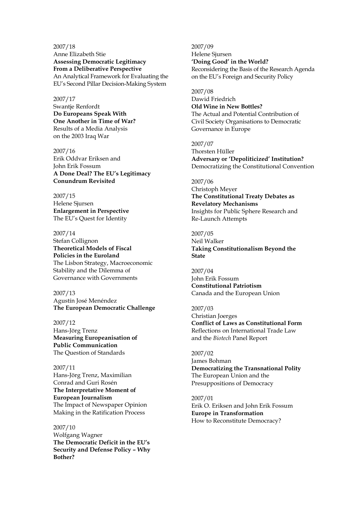2007/18 Anne Elizabeth Stie **Assessing Democratic Legitimacy From a Deliberative Perspective** An Analytical Framework for Evaluating the EU"s Second Pillar Decision-Making System

#### 2007/17

Swantje Renfordt **Do Europeans Speak With One Another in Time of War?** Results of a Media Analysis on the 2003 Iraq War

2007/16 Erik Oddvar Eriksen and John Erik Fossum **A Done Deal? The EU"s Legitimacy Conundrum Revisited**

2007/15 Helene Sjursen **Enlargement in Perspective** The EU"s Quest for Identity

2007/14 Stefan Collignon **Theoretical Models of Fiscal Policies in the Euroland** The Lisbon Strategy, Macroeconomic Stability and the Dilemma of Governance with Governments

2007/13 Agustín José Menéndez **The European Democratic Challenge**

2007/12 Hans-Jörg Trenz **Measuring Europeanisation of Public Communication** The Question of Standards

2007/11 Hans-Jörg Trenz, Maximilian Conrad and Guri Rosén **The Interpretative Moment of European Journalism**  The Impact of Newspaper Opinion Making in the Ratification Process

2007/10 Wolfgang Wagner **The Democratic Deficit in the EU"s Security and Defense Policy – Why Bother?**

2007/09 Helene Sjursen **"Doing Good" in the World?** Reconsidering the Basis of the Research Agenda on the EU"s Foreign and Security Policy

2007/08 Dawid Friedrich **Old Wine in New Bottles?**  The Actual and Potential Contribution of Civil Society Organisations to Democratic Governance in Europe

2007/07 Thorsten Hüller **Adversary or "Depoliticized" Institution?**  Democratizing the Constitutional Convention

2007/06 Christoph Meyer **The Constitutional Treaty Debates as Revelatory Mechanisms**

Insights for Public Sphere Research and Re-Launch Attempts

2007/05 Neil Walker **Taking Constitutionalism Beyond the State**

2007/04 John Erik Fossum **Constitutional Patriotism** Canada and the European Union

2007/03

Christian Joerges **Conflict of Laws as Constitutional Form**  Reflections on International Trade Law and the *Biotech* Panel Report

2007/02 James Bohman **Democratizing the Transnational Polity** The European Union and the Presuppositions of Democracy

2007/01 Erik O. Eriksen and John Erik Fossum **Europe in Transformation** How to Reconstitute Democracy?